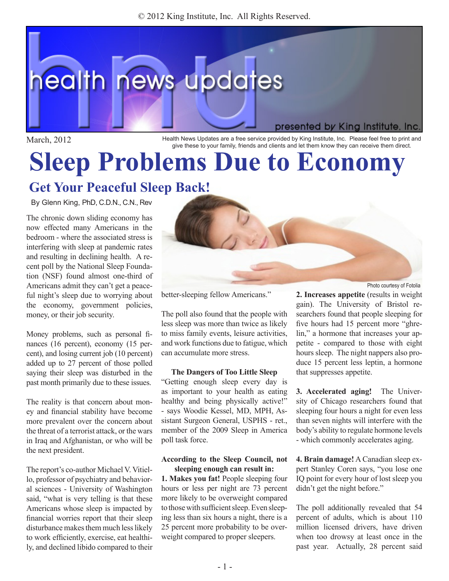© 2012 King Institute, Inc. All Rights Reserved.



March, 2012 **Health News Updates are a free service provided by King Institute, Inc. Please feel free to print and** give these to your family, friends and clients and let them know they can receive them direct.

# **Sleep Problems Due to Economy**

# **Get Your Peaceful Sleep Back!**

By Glenn King, PhD, C.D.N., C.N., Rev

The chronic down sliding economy has now effected many Americans in the bedroom - where the associated stress is interfering with sleep at pandemic rates and resulting in declining health. A recent poll by the National Sleep Foundation (NSF) found almost one-third of Americans admit they can't get a peaceful night's sleep due to worrying about the economy, government policies, money, or their job security.

Money problems, such as personal finances (16 percent), economy (15 percent), and losing current job (10 percent) added up to 27 percent of those polled saying their sleep was disturbed in the past month primarily due to these issues.

The reality is that concern about money and financial stability have become more prevalent over the concern about the threat of a terrorist attack, or the wars in Iraq and Afghanistan, or who will be the next president.

The report's co-author Michael V. Vitiello, professor of psychiatry and behavioral sciences - University of Washington said, "what is very telling is that these Americans whose sleep is impacted by financial worries report that their sleep disturbance makes them much less likely to work efficiently, exercise, eat healthily, and declined libido compared to their



better-sleeping fellow Americans."

The poll also found that the people with less sleep was more than twice as likely to miss family events, leisure activities, and work functions due to fatigue, which can accumulate more stress.

#### **The Dangers of Too Little Sleep**

"Getting enough sleep every day is as important to your health as eating healthy and being physically active!" - says Woodie Kessel, MD, MPH, Assistant Surgeon General, USPHS - ret., member of the 2009 Sleep in America poll task force.

#### **According to the Sleep Council, not sleeping enough can result in:**

**1. Makes you fat!** People sleeping four hours or less per night are 73 percent more likely to be overweight compared to those with sufficient sleep. Even sleeping less than six hours a night, there is a 25 percent more probability to be overweight compared to proper sleepers.

**2. Increases appetite** (results in weight gain). The University of Bristol researchers found that people sleeping for five hours had 15 percent more "ghrelin," a hormone that increases your appetite - compared to those with eight hours sleep. The night nappers also produce 15 percent less leptin, a hormone that suppresses appetite.

**3. Accelerated aging!** The University of Chicago researchers found that sleeping four hours a night for even less than seven nights will interfere with the body's ability to regulate hormone levels - which commonly accelerates aging.

**4. Brain damage!** A Canadian sleep expert Stanley Coren says, "you lose one IQ point for every hour of lost sleep you didn't get the night before."

The poll additionally revealed that 54 percent of adults, which is about 110 million licensed drivers, have driven when too drowsy at least once in the past year. Actually, 28 percent said